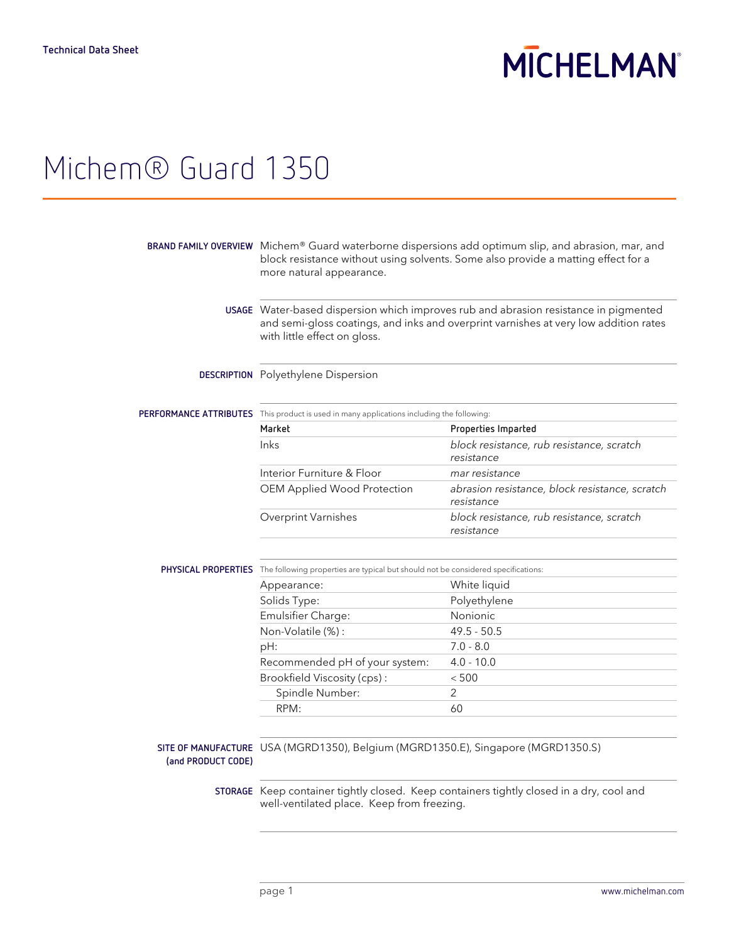# **MICHELMAN**

## Michem® Guard 1350

|                    | BRAND FAMILY OVERVIEW Michem® Guard waterborne dispersions add optimum slip, and abrasion, mar, and<br>block resistance without using solvents. Some also provide a matting effect for a<br>more natural appearance. |                                                              |  |
|--------------------|----------------------------------------------------------------------------------------------------------------------------------------------------------------------------------------------------------------------|--------------------------------------------------------------|--|
|                    | USAGE Water-based dispersion which improves rub and abrasion resistance in pigmented<br>and semi-gloss coatings, and inks and overprint varnishes at very low addition rates<br>with little effect on gloss.         |                                                              |  |
|                    | DESCRIPTION Polyethylene Dispersion                                                                                                                                                                                  |                                                              |  |
|                    | PERFORMANCE ATTRIBUTES This product is used in many applications including the following:                                                                                                                            |                                                              |  |
|                    | Market                                                                                                                                                                                                               | Properties Imparted                                          |  |
|                    | Inks                                                                                                                                                                                                                 | block resistance, rub resistance, scratch                    |  |
|                    |                                                                                                                                                                                                                      | resistance                                                   |  |
|                    | Interior Furniture & Floor                                                                                                                                                                                           | mar resistance                                               |  |
|                    | OEM Applied Wood Protection                                                                                                                                                                                          | abrasion resistance, block resistance, scratch<br>resistance |  |
|                    | Overprint Varnishes                                                                                                                                                                                                  | block resistance, rub resistance, scratch<br>resistance      |  |
|                    | PHYSICAL PROPERTIES The following properties are typical but should not be considered specifications:                                                                                                                |                                                              |  |
|                    | Appearance:                                                                                                                                                                                                          | White liquid                                                 |  |
|                    | Solids Type:                                                                                                                                                                                                         | Polyethylene                                                 |  |
|                    | Emulsifier Charge:                                                                                                                                                                                                   | Nonionic                                                     |  |
|                    | Non-Volatile (%):                                                                                                                                                                                                    | $49.5 - 50.5$                                                |  |
|                    | pH:                                                                                                                                                                                                                  | $7.0 - 8.0$                                                  |  |
|                    | Recommended pH of your system:                                                                                                                                                                                       | $4.0 - 10.0$                                                 |  |
|                    | Brookfield Viscosity (cps):                                                                                                                                                                                          | < 500                                                        |  |
|                    | Spindle Number:                                                                                                                                                                                                      | $\overline{2}$                                               |  |
|                    | RPM:                                                                                                                                                                                                                 | 60                                                           |  |
| (and PRODUCT CODE) | SITE OF MANUFACTURE USA (MGRD1350), Belgium (MGRD1350.E), Singapore (MGRD1350.S)                                                                                                                                     |                                                              |  |
|                    | STORAGE Keep container tightly closed. Keep containers tightly closed in a dry, cool and<br>well-ventilated place. Keep from freezing.                                                                               |                                                              |  |
|                    |                                                                                                                                                                                                                      |                                                              |  |